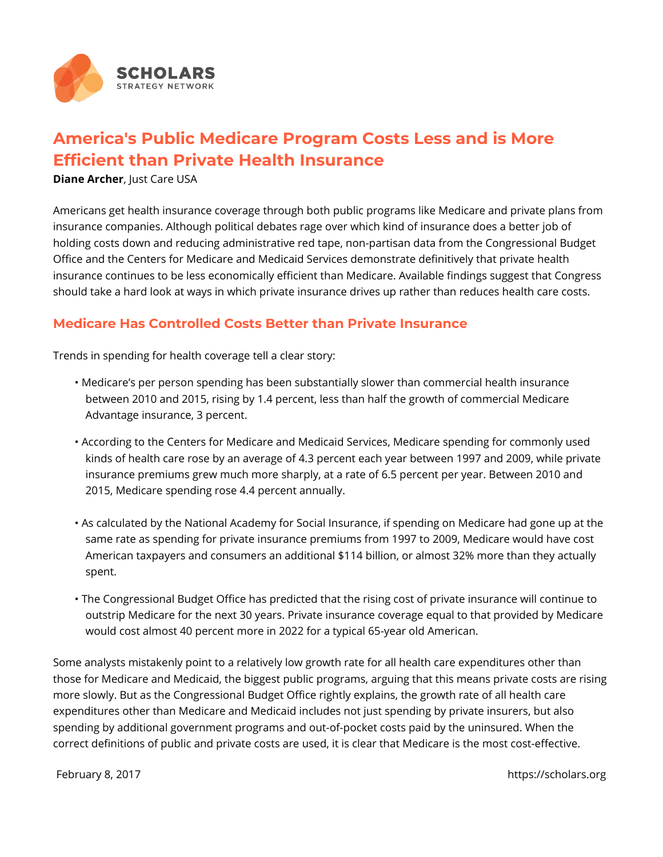

# **America's Public Medicare Program Costs Less and is More Efficient than Private Health Insurance**

**Diane Archer, Just Care USA** 

Americans get health insurance coverage through both public programs like Medicare and private plans from insurance companies. Although political debates rage over which kind of insurance does a better job of holding costs down and reducing administrative red tape, non-partisan data from the Congressional Budget Office and the Centers for Medicare and Medicaid Services demonstrate definitively that private health insurance continues to be less economically efficient than Medicare. Available findings suggest that Congress should take a hard look at ways in which private insurance drives up rather than reduces health care costs.

## **Medicare Has Controlled Costs Better than Private Insurance**

Trends in spending for health coverage tell a clear story:

- Medicare's per person spending has been substantially slower than commercial health insurance between 2010 and 2015, rising by 1.4 percent, less than half the growth of commercial Medicare Advantage insurance, 3 percent.
- According to the Centers for Medicare and Medicaid Services, Medicare spending for commonly used kinds of health care rose by an average of 4.3 percent each year between 1997 and 2009, while private insurance premiums grew much more sharply, at a rate of 6.5 percent per year. Between 2010 and 2015, Medicare spending rose 4.4 percent annually.
- As calculated by the National Academy for Social Insurance, if spending on Medicare had gone up at the same rate as spending for private insurance premiums from 1997 to 2009, Medicare would have cost American taxpayers and consumers an additional \$114 billion, or almost 32% more than they actually spent.
- The Congressional Budget Office has predicted that the rising cost of private insurance will continue to outstrip Medicare for the next 30 years. Private insurance coverage equal to that provided by Medicare would cost almost 40 percent more in 2022 for a typical 65-year old American.

Some analysts mistakenly point to a relatively low growth rate for all health care expenditures other than those for Medicare and Medicaid, the biggest public programs, arguing that this means private costs are rising more slowly. But as the Congressional Budget Office rightly explains, the growth rate of all health care expenditures other than Medicare and Medicaid includes not just spending by private insurers, but also spending by additional government programs and out-of-pocket costs paid by the uninsured. When the correct definitions of public and private costs are used, it is clear that Medicare is the most cost-effective.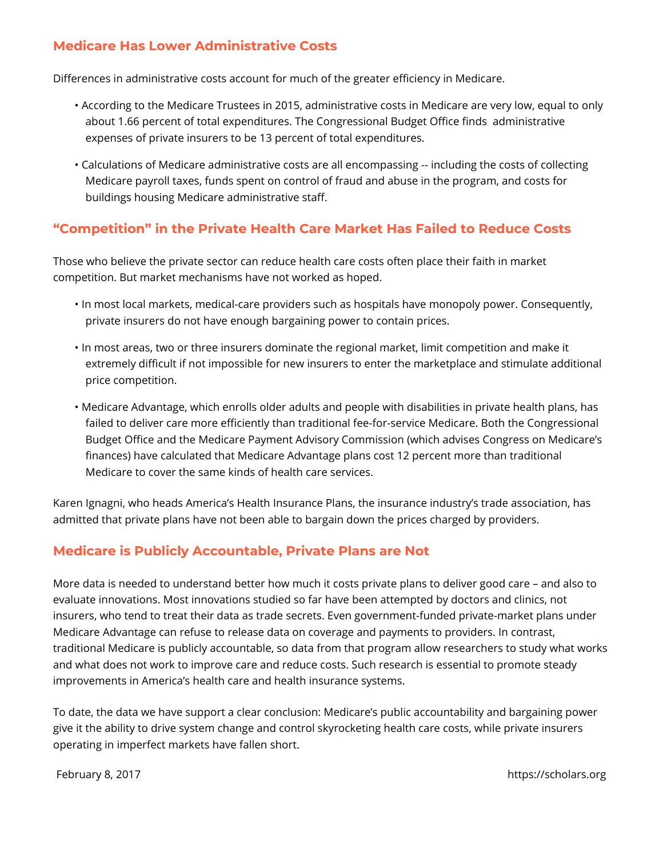## **Medicare Has Lower Administrative Costs**

Differences in administrative costs account for much of the greater efficiency in Medicare.

- According to the Medicare Trustees in 2015, administrative costs in Medicare are very low, equal to only about 1.66 percent of total expenditures. The Congressional Budget Office finds administrative expenses of private insurers to be 13 percent of total expenditures.
- Calculations of Medicare administrative costs are all encompassing -- including the costs of collecting Medicare payroll taxes, funds spent on control of fraud and abuse in the program, and costs for buildings housing Medicare administrative staff.

# **"Competition" in the Private Health Care Market Has Failed to Reduce Costs**

Those who believe the private sector can reduce health care costs often place their faith in market competition. But market mechanisms have not worked as hoped.

- In most local markets, medical-care providers such as hospitals have monopoly power. Consequently, private insurers do not have enough bargaining power to contain prices.
- In most areas, two or three insurers dominate the regional market, limit competition and make it extremely difficult if not impossible for new insurers to enter the marketplace and stimulate additional price competition.
- Medicare Advantage, which enrolls older adults and people with disabilities in private health plans, has failed to deliver care more efficiently than traditional fee-for-service Medicare. Both the Congressional Budget Office and the Medicare Payment Advisory Commission (which advises Congress on Medicare's finances) have calculated that Medicare Advantage plans cost 12 percent more than traditional Medicare to cover the same kinds of health care services.

Karen Ignagni, who heads America's Health Insurance Plans, the insurance industry's trade association, has admitted that private plans have not been able to bargain down the prices charged by providers.

## **Medicare is Publicly Accountable, Private Plans are Not**

More data is needed to understand better how much it costs private plans to deliver good care – and also to evaluate innovations. Most innovations studied so far have been attempted by doctors and clinics, not insurers, who tend to treat their data as trade secrets. Even government-funded private-market plans under Medicare Advantage can refuse to release data on coverage and payments to providers. In contrast, traditional Medicare is publicly accountable, so data from that program allow researchers to study what works and what does not work to improve care and reduce costs. Such research is essential to promote steady improvements in America's health care and health insurance systems.

To date, the data we have support a clear conclusion: Medicare's public accountability and bargaining power give it the ability to drive system change and control skyrocketing health care costs, while private insurers operating in imperfect markets have fallen short.